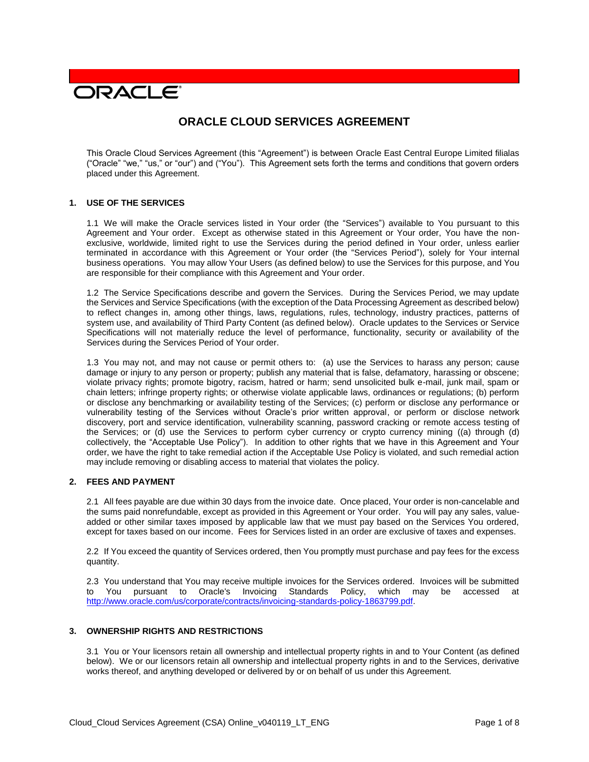# **DRACLE**

# **ORACLE CLOUD SERVICES AGREEMENT**

This Oracle Cloud Services Agreement (this "Agreement") is between Oracle East Central Europe Limited filialas ("Oracle" "we," "us," or "our") and ("You"). This Agreement sets forth the terms and conditions that govern orders placed under this Agreement.

# **1. USE OF THE SERVICES**

1.1 We will make the Oracle services listed in Your order (the "Services") available to You pursuant to this Agreement and Your order. Except as otherwise stated in this Agreement or Your order, You have the nonexclusive, worldwide, limited right to use the Services during the period defined in Your order, unless earlier terminated in accordance with this Agreement or Your order (the "Services Period"), solely for Your internal business operations. You may allow Your Users (as defined below) to use the Services for this purpose, and You are responsible for their compliance with this Agreement and Your order.

1.2 The Service Specifications describe and govern the Services. During the Services Period, we may update the Services and Service Specifications (with the exception of the Data Processing Agreement as described below) to reflect changes in, among other things, laws, regulations, rules, technology, industry practices, patterns of system use, and availability of Third Party Content (as defined below). Oracle updates to the Services or Service Specifications will not materially reduce the level of performance, functionality, security or availability of the Services during the Services Period of Your order.

1.3 You may not, and may not cause or permit others to: (a) use the Services to harass any person; cause damage or injury to any person or property; publish any material that is false, defamatory, harassing or obscene; violate privacy rights; promote bigotry, racism, hatred or harm; send unsolicited bulk e-mail, junk mail, spam or chain letters; infringe property rights; or otherwise violate applicable laws, ordinances or regulations; (b) perform or disclose any benchmarking or availability testing of the Services; (c) perform or disclose any performance or vulnerability testing of the Services without Oracle's prior written approval, or perform or disclose network discovery, port and service identification, vulnerability scanning, password cracking or remote access testing of the Services; or (d) use the Services to perform cyber currency or crypto currency mining ((a) through (d) collectively, the "Acceptable Use Policy"). In addition to other rights that we have in this Agreement and Your order, we have the right to take remedial action if the Acceptable Use Policy is violated, and such remedial action may include removing or disabling access to material that violates the policy.

# **2. FEES AND PAYMENT**

2.1 All fees payable are due within 30 days from the invoice date. Once placed, Your order is non-cancelable and the sums paid nonrefundable, except as provided in this Agreement or Your order. You will pay any sales, valueadded or other similar taxes imposed by applicable law that we must pay based on the Services You ordered, except for taxes based on our income. Fees for Services listed in an order are exclusive of taxes and expenses.

2.2 If You exceed the quantity of Services ordered, then You promptly must purchase and pay fees for the excess quantity.

2.3 You understand that You may receive multiple invoices for the Services ordered. Invoices will be submitted to You pursuant to Oracle's Invoicing Standards Policy, which may be accessed at [http://www.oracle.com/us/corporate/contracts/invoicing-standards-policy-1863799.pdf.](http://www.oracle.com/us/corporate/contracts/invoicing-standards-policy-1863799.pdf)

# **3. OWNERSHIP RIGHTS AND RESTRICTIONS**

3.1 You or Your licensors retain all ownership and intellectual property rights in and to Your Content (as defined below). We or our licensors retain all ownership and intellectual property rights in and to the Services, derivative works thereof, and anything developed or delivered by or on behalf of us under this Agreement.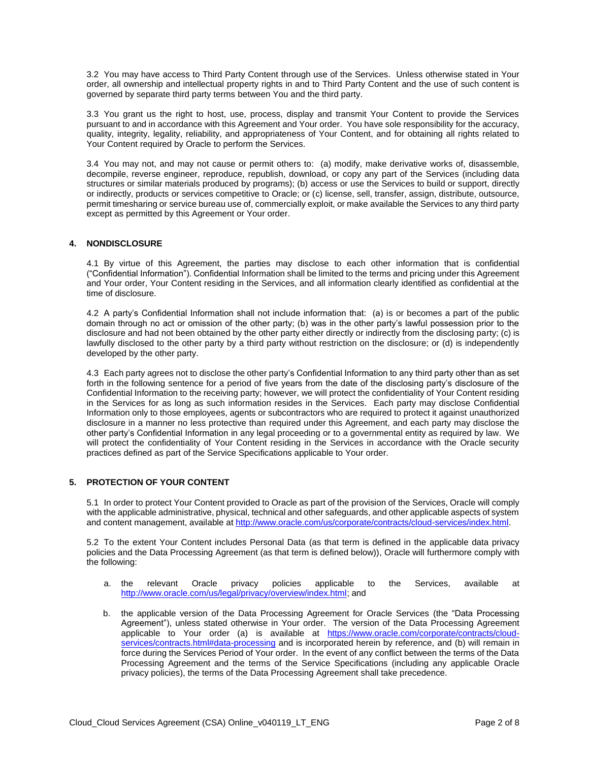3.2 You may have access to Third Party Content through use of the Services. Unless otherwise stated in Your order, all ownership and intellectual property rights in and to Third Party Content and the use of such content is governed by separate third party terms between You and the third party.

3.3 You grant us the right to host, use, process, display and transmit Your Content to provide the Services pursuant to and in accordance with this Agreement and Your order. You have sole responsibility for the accuracy, quality, integrity, legality, reliability, and appropriateness of Your Content, and for obtaining all rights related to Your Content required by Oracle to perform the Services.

3.4 You may not, and may not cause or permit others to: (a) modify, make derivative works of, disassemble, decompile, reverse engineer, reproduce, republish, download, or copy any part of the Services (including data structures or similar materials produced by programs); (b) access or use the Services to build or support, directly or indirectly, products or services competitive to Oracle; or (c) license, sell, transfer, assign, distribute, outsource, permit timesharing or service bureau use of, commercially exploit, or make available the Services to any third party except as permitted by this Agreement or Your order.

# **4. NONDISCLOSURE**

4.1 By virtue of this Agreement, the parties may disclose to each other information that is confidential ("Confidential Information"). Confidential Information shall be limited to the terms and pricing under this Agreement and Your order, Your Content residing in the Services, and all information clearly identified as confidential at the time of disclosure.

4.2 A party's Confidential Information shall not include information that: (a) is or becomes a part of the public domain through no act or omission of the other party; (b) was in the other party's lawful possession prior to the disclosure and had not been obtained by the other party either directly or indirectly from the disclosing party; (c) is lawfully disclosed to the other party by a third party without restriction on the disclosure; or (d) is independently developed by the other party.

4.3 Each party agrees not to disclose the other party's Confidential Information to any third party other than as set forth in the following sentence for a period of five years from the date of the disclosing party's disclosure of the Confidential Information to the receiving party; however, we will protect the confidentiality of Your Content residing in the Services for as long as such information resides in the Services. Each party may disclose Confidential Information only to those employees, agents or subcontractors who are required to protect it against unauthorized disclosure in a manner no less protective than required under this Agreement, and each party may disclose the other party's Confidential Information in any legal proceeding or to a governmental entity as required by law. We will protect the confidentiality of Your Content residing in the Services in accordance with the Oracle security practices defined as part of the Service Specifications applicable to Your order.

# **5. PROTECTION OF YOUR CONTENT**

5.1 In order to protect Your Content provided to Oracle as part of the provision of the Services, Oracle will comply with the applicable administrative, physical, technical and other safeguards, and other applicable aspects of system and content management, available at [http://www.oracle.com/us/corporate/contracts/cloud-services/index.html.](http://www.oracle.com/us/corporate/contracts/cloud-services/index.html)

5.2 To the extent Your Content includes Personal Data (as that term is defined in the applicable data privacy policies and the Data Processing Agreement (as that term is defined below)), Oracle will furthermore comply with the following:

- a. the relevant Oracle privacy policies applicable to the Services, available at [http://www.oracle.com/us/legal/privacy/overview/index.html;](http://www.oracle.com/us/legal/privacy/overview/index.html) and
- b. the applicable version of the Data Processing Agreement for Oracle Services (the "Data Processing Agreement"), unless stated otherwise in Your order. The version of the Data Processing Agreement applicable to Your order (a) is available at [https://www.oracle.com/corporate/contracts/cloud](https://www.oracle.com/corporate/contracts/cloud-services/contracts.html#data-processing)[services/contracts.html#data-processing](https://www.oracle.com/corporate/contracts/cloud-services/contracts.html#data-processing) and is incorporated herein by reference, and (b) will remain in force during the Services Period of Your order. In the event of any conflict between the terms of the Data Processing Agreement and the terms of the Service Specifications (including any applicable Oracle privacy policies), the terms of the Data Processing Agreement shall take precedence.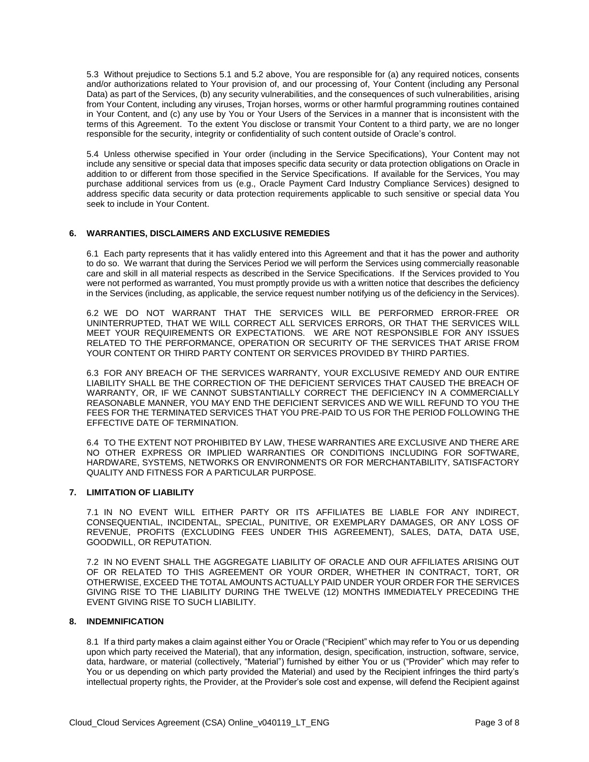5.3 Without prejudice to Sections 5.1 and 5.2 above, You are responsible for (a) any required notices, consents and/or authorizations related to Your provision of, and our processing of, Your Content (including any Personal Data) as part of the Services, (b) any security vulnerabilities, and the consequences of such vulnerabilities, arising from Your Content, including any viruses, Trojan horses, worms or other harmful programming routines contained in Your Content, and (c) any use by You or Your Users of the Services in a manner that is inconsistent with the terms of this Agreement. To the extent You disclose or transmit Your Content to a third party, we are no longer responsible for the security, integrity or confidentiality of such content outside of Oracle's control.

5.4 Unless otherwise specified in Your order (including in the Service Specifications), Your Content may not include any sensitive or special data that imposes specific data security or data protection obligations on Oracle in addition to or different from those specified in the Service Specifications. If available for the Services, You may purchase additional services from us (e.g., Oracle Payment Card Industry Compliance Services) designed to address specific data security or data protection requirements applicable to such sensitive or special data You seek to include in Your Content.

# **6. WARRANTIES, DISCLAIMERS AND EXCLUSIVE REMEDIES**

6.1 Each party represents that it has validly entered into this Agreement and that it has the power and authority to do so. We warrant that during the Services Period we will perform the Services using commercially reasonable care and skill in all material respects as described in the Service Specifications. If the Services provided to You were not performed as warranted, You must promptly provide us with a written notice that describes the deficiency in the Services (including, as applicable, the service request number notifying us of the deficiency in the Services).

6.2 WE DO NOT WARRANT THAT THE SERVICES WILL BE PERFORMED ERROR-FREE OR UNINTERRUPTED, THAT WE WILL CORRECT ALL SERVICES ERRORS, OR THAT THE SERVICES WILL MEET YOUR REQUIREMENTS OR EXPECTATIONS. WE ARE NOT RESPONSIBLE FOR ANY ISSUES RELATED TO THE PERFORMANCE, OPERATION OR SECURITY OF THE SERVICES THAT ARISE FROM YOUR CONTENT OR THIRD PARTY CONTENT OR SERVICES PROVIDED BY THIRD PARTIES.

6.3 FOR ANY BREACH OF THE SERVICES WARRANTY, YOUR EXCLUSIVE REMEDY AND OUR ENTIRE LIABILITY SHALL BE THE CORRECTION OF THE DEFICIENT SERVICES THAT CAUSED THE BREACH OF WARRANTY, OR, IF WE CANNOT SUBSTANTIALLY CORRECT THE DEFICIENCY IN A COMMERCIALLY REASONABLE MANNER, YOU MAY END THE DEFICIENT SERVICES AND WE WILL REFUND TO YOU THE FEES FOR THE TERMINATED SERVICES THAT YOU PRE-PAID TO US FOR THE PERIOD FOLLOWING THE EFFECTIVE DATE OF TERMINATION.

6.4 TO THE EXTENT NOT PROHIBITED BY LAW, THESE WARRANTIES ARE EXCLUSIVE AND THERE ARE NO OTHER EXPRESS OR IMPLIED WARRANTIES OR CONDITIONS INCLUDING FOR SOFTWARE, HARDWARE, SYSTEMS, NETWORKS OR ENVIRONMENTS OR FOR MERCHANTABILITY, SATISFACTORY QUALITY AND FITNESS FOR A PARTICULAR PURPOSE.

# **7. LIMITATION OF LIABILITY**

7.1 IN NO EVENT WILL EITHER PARTY OR ITS AFFILIATES BE LIABLE FOR ANY INDIRECT, CONSEQUENTIAL, INCIDENTAL, SPECIAL, PUNITIVE, OR EXEMPLARY DAMAGES, OR ANY LOSS OF REVENUE, PROFITS (EXCLUDING FEES UNDER THIS AGREEMENT), SALES, DATA, DATA USE, GOODWILL, OR REPUTATION.

7.2 IN NO EVENT SHALL THE AGGREGATE LIABILITY OF ORACLE AND OUR AFFILIATES ARISING OUT OF OR RELATED TO THIS AGREEMENT OR YOUR ORDER, WHETHER IN CONTRACT, TORT, OR OTHERWISE, EXCEED THE TOTAL AMOUNTS ACTUALLY PAID UNDER YOUR ORDER FOR THE SERVICES GIVING RISE TO THE LIABILITY DURING THE TWELVE (12) MONTHS IMMEDIATELY PRECEDING THE EVENT GIVING RISE TO SUCH LIABILITY.

# **8. INDEMNIFICATION**

8.1 If a third party makes a claim against either You or Oracle ("Recipient" which may refer to You or us depending upon which party received the Material), that any information, design, specification, instruction, software, service, data, hardware, or material (collectively, "Material") furnished by either You or us ("Provider" which may refer to You or us depending on which party provided the Material) and used by the Recipient infringes the third party's intellectual property rights, the Provider, at the Provider's sole cost and expense, will defend the Recipient against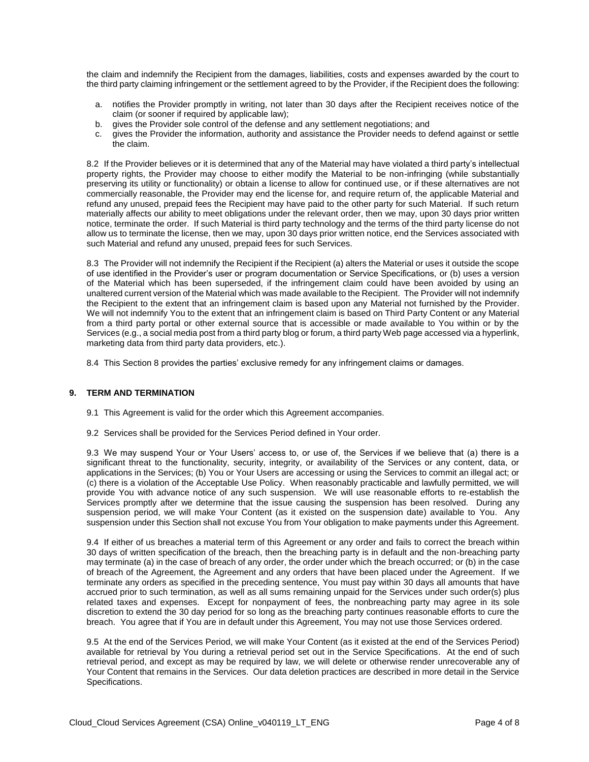the claim and indemnify the Recipient from the damages, liabilities, costs and expenses awarded by the court to the third party claiming infringement or the settlement agreed to by the Provider, if the Recipient does the following:

- a. notifies the Provider promptly in writing, not later than 30 days after the Recipient receives notice of the claim (or sooner if required by applicable law);
- b. gives the Provider sole control of the defense and any settlement negotiations; and
- c. gives the Provider the information, authority and assistance the Provider needs to defend against or settle the claim.

8.2 If the Provider believes or it is determined that any of the Material may have violated a third party's intellectual property rights, the Provider may choose to either modify the Material to be non-infringing (while substantially preserving its utility or functionality) or obtain a license to allow for continued use, or if these alternatives are not commercially reasonable, the Provider may end the license for, and require return of, the applicable Material and refund any unused, prepaid fees the Recipient may have paid to the other party for such Material. If such return materially affects our ability to meet obligations under the relevant order, then we may, upon 30 days prior written notice, terminate the order. If such Material is third party technology and the terms of the third party license do not allow us to terminate the license, then we may, upon 30 days prior written notice, end the Services associated with such Material and refund any unused, prepaid fees for such Services.

8.3 The Provider will not indemnify the Recipient if the Recipient (a) alters the Material or uses it outside the scope of use identified in the Provider's user or program documentation or Service Specifications, or (b) uses a version of the Material which has been superseded, if the infringement claim could have been avoided by using an unaltered current version of the Material which was made available to the Recipient. The Provider will not indemnify the Recipient to the extent that an infringement claim is based upon any Material not furnished by the Provider. We will not indemnify You to the extent that an infringement claim is based on Third Party Content or any Material from a third party portal or other external source that is accessible or made available to You within or by the Services (e.g., a social media post from a third party blog or forum, a third party Web page accessed via a hyperlink, marketing data from third party data providers, etc.).

8.4 This Section 8 provides the parties' exclusive remedy for any infringement claims or damages.

# **9. TERM AND TERMINATION**

- 9.1 This Agreement is valid for the order which this Agreement accompanies.
- 9.2 Services shall be provided for the Services Period defined in Your order.

9.3 We may suspend Your or Your Users' access to, or use of, the Services if we believe that (a) there is a significant threat to the functionality, security, integrity, or availability of the Services or any content, data, or applications in the Services; (b) You or Your Users are accessing or using the Services to commit an illegal act; or (c) there is a violation of the Acceptable Use Policy. When reasonably practicable and lawfully permitted, we will provide You with advance notice of any such suspension. We will use reasonable efforts to re-establish the Services promptly after we determine that the issue causing the suspension has been resolved. During any suspension period, we will make Your Content (as it existed on the suspension date) available to You. Any suspension under this Section shall not excuse You from Your obligation to make payments under this Agreement.

9.4 If either of us breaches a material term of this Agreement or any order and fails to correct the breach within 30 days of written specification of the breach, then the breaching party is in default and the non-breaching party may terminate (a) in the case of breach of any order, the order under which the breach occurred; or (b) in the case of breach of the Agreement, the Agreement and any orders that have been placed under the Agreement. If we terminate any orders as specified in the preceding sentence, You must pay within 30 days all amounts that have accrued prior to such termination, as well as all sums remaining unpaid for the Services under such order(s) plus related taxes and expenses. Except for nonpayment of fees, the nonbreaching party may agree in its sole discretion to extend the 30 day period for so long as the breaching party continues reasonable efforts to cure the breach. You agree that if You are in default under this Agreement, You may not use those Services ordered.

9.5 At the end of the Services Period, we will make Your Content (as it existed at the end of the Services Period) available for retrieval by You during a retrieval period set out in the Service Specifications. At the end of such retrieval period, and except as may be required by law, we will delete or otherwise render unrecoverable any of Your Content that remains in the Services. Our data deletion practices are described in more detail in the Service Specifications.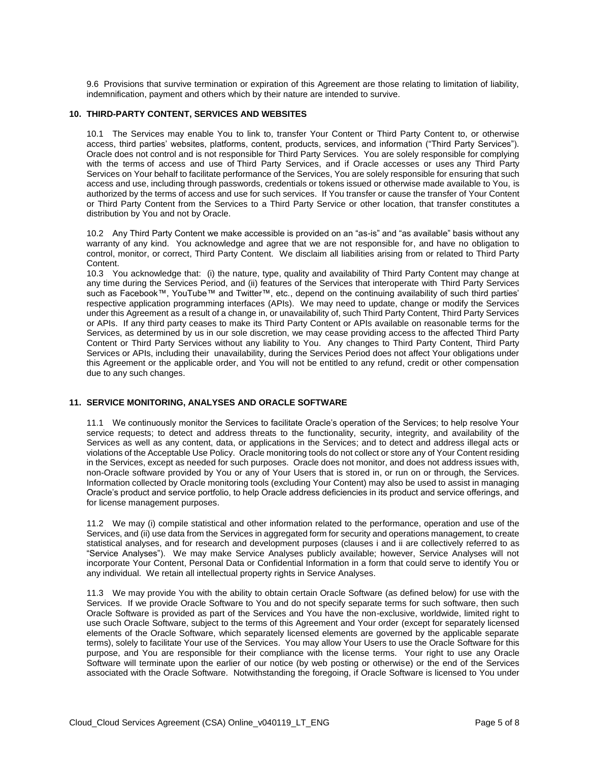9.6 Provisions that survive termination or expiration of this Agreement are those relating to limitation of liability, indemnification, payment and others which by their nature are intended to survive.

#### **10. THIRD-PARTY CONTENT, SERVICES AND WEBSITES**

10.1 The Services may enable You to link to, transfer Your Content or Third Party Content to, or otherwise access, third parties' websites, platforms, content, products, services, and information ("Third Party Services"). Oracle does not control and is not responsible for Third Party Services. You are solely responsible for complying with the terms of access and use of Third Party Services, and if Oracle accesses or uses any Third Party Services on Your behalf to facilitate performance of the Services, You are solely responsible for ensuring that such access and use, including through passwords, credentials or tokens issued or otherwise made available to You, is authorized by the terms of access and use for such services. If You transfer or cause the transfer of Your Content or Third Party Content from the Services to a Third Party Service or other location, that transfer constitutes a distribution by You and not by Oracle.

10.2 Any Third Party Content we make accessible is provided on an "as-is" and "as available" basis without any warranty of any kind. You acknowledge and agree that we are not responsible for, and have no obligation to control, monitor, or correct, Third Party Content. We disclaim all liabilities arising from or related to Third Party Content.

10.3 You acknowledge that: (i) the nature, type, quality and availability of Third Party Content may change at any time during the Services Period, and (ii) features of the Services that interoperate with Third Party Services such as Facebook™, YouTube™ and Twitter™, etc., depend on the continuing availability of such third parties' respective application programming interfaces (APIs). We may need to update, change or modify the Services under this Agreement as a result of a change in, or unavailability of, such Third Party Content, Third Party Services or APIs. If any third party ceases to make its Third Party Content or APIs available on reasonable terms for the Services, as determined by us in our sole discretion, we may cease providing access to the affected Third Party Content or Third Party Services without any liability to You. Any changes to Third Party Content, Third Party Services or APIs, including their unavailability, during the Services Period does not affect Your obligations under this Agreement or the applicable order, and You will not be entitled to any refund, credit or other compensation due to any such changes.

# **11. SERVICE MONITORING, ANALYSES AND ORACLE SOFTWARE**

11.1 We continuously monitor the Services to facilitate Oracle's operation of the Services; to help resolve Your service requests; to detect and address threats to the functionality, security, integrity, and availability of the Services as well as any content, data, or applications in the Services; and to detect and address illegal acts or violations of the Acceptable Use Policy. Oracle monitoring tools do not collect or store any of Your Content residing in the Services, except as needed for such purposes. Oracle does not monitor, and does not address issues with, non-Oracle software provided by You or any of Your Users that is stored in, or run on or through, the Services. Information collected by Oracle monitoring tools (excluding Your Content) may also be used to assist in managing Oracle's product and service portfolio, to help Oracle address deficiencies in its product and service offerings, and for license management purposes.

11.2 We may (i) compile statistical and other information related to the performance, operation and use of the Services, and (ii) use data from the Services in aggregated form for security and operations management, to create statistical analyses, and for research and development purposes (clauses i and ii are collectively referred to as "Service Analyses"). We may make Service Analyses publicly available; however, Service Analyses will not incorporate Your Content, Personal Data or Confidential Information in a form that could serve to identify You or any individual. We retain all intellectual property rights in Service Analyses.

11.3 We may provide You with the ability to obtain certain Oracle Software (as defined below) for use with the Services. If we provide Oracle Software to You and do not specify separate terms for such software, then such Oracle Software is provided as part of the Services and You have the non-exclusive, worldwide, limited right to use such Oracle Software, subject to the terms of this Agreement and Your order (except for separately licensed elements of the Oracle Software, which separately licensed elements are governed by the applicable separate terms), solely to facilitate Your use of the Services. You may allow Your Users to use the Oracle Software for this purpose, and You are responsible for their compliance with the license terms. Your right to use any Oracle Software will terminate upon the earlier of our notice (by web posting or otherwise) or the end of the Services associated with the Oracle Software. Notwithstanding the foregoing, if Oracle Software is licensed to You under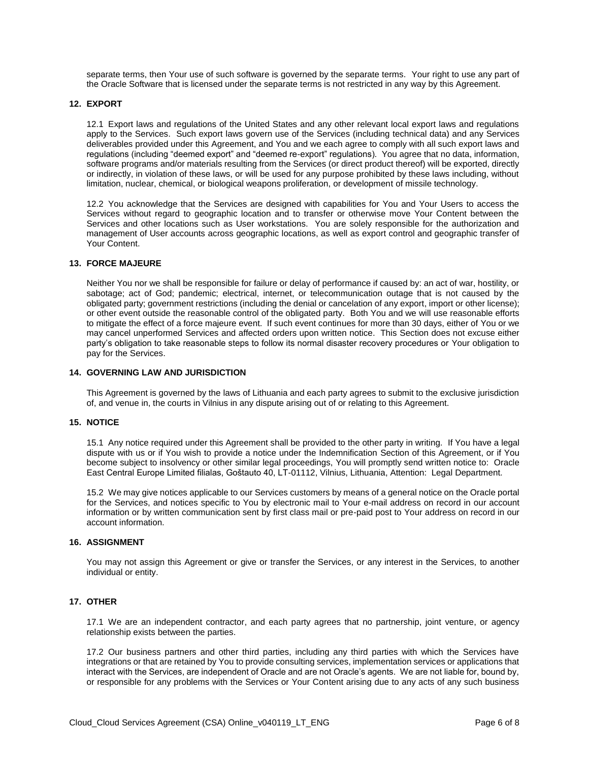separate terms, then Your use of such software is governed by the separate terms. Your right to use any part of the Oracle Software that is licensed under the separate terms is not restricted in any way by this Agreement.

#### **12. EXPORT**

12.1 Export laws and regulations of the United States and any other relevant local export laws and regulations apply to the Services. Such export laws govern use of the Services (including technical data) and any Services deliverables provided under this Agreement, and You and we each agree to comply with all such export laws and regulations (including "deemed export" and "deemed re-export" regulations). You agree that no data, information, software programs and/or materials resulting from the Services (or direct product thereof) will be exported, directly or indirectly, in violation of these laws, or will be used for any purpose prohibited by these laws including, without limitation, nuclear, chemical, or biological weapons proliferation, or development of missile technology.

12.2 You acknowledge that the Services are designed with capabilities for You and Your Users to access the Services without regard to geographic location and to transfer or otherwise move Your Content between the Services and other locations such as User workstations. You are solely responsible for the authorization and management of User accounts across geographic locations, as well as export control and geographic transfer of Your Content.

#### **13. FORCE MAJEURE**

Neither You nor we shall be responsible for failure or delay of performance if caused by: an act of war, hostility, or sabotage; act of God; pandemic; electrical, internet, or telecommunication outage that is not caused by the obligated party; government restrictions (including the denial or cancelation of any export, import or other license); or other event outside the reasonable control of the obligated party. Both You and we will use reasonable efforts to mitigate the effect of a force majeure event. If such event continues for more than 30 days, either of You or we may cancel unperformed Services and affected orders upon written notice. This Section does not excuse either party's obligation to take reasonable steps to follow its normal disaster recovery procedures or Your obligation to pay for the Services.

# **14. GOVERNING LAW AND JURISDICTION**

This Agreement is governed by the laws of Lithuania and each party agrees to submit to the exclusive jurisdiction of, and venue in, the courts in Vilnius in any dispute arising out of or relating to this Agreement.

#### **15. NOTICE**

15.1 Any notice required under this Agreement shall be provided to the other party in writing. If You have a legal dispute with us or if You wish to provide a notice under the Indemnification Section of this Agreement, or if You become subject to insolvency or other similar legal proceedings, You will promptly send written notice to: Oracle East Central Europe Limited filialas, Goštauto 40, LT-01112, Vilnius, Lithuania, Attention: Legal Department.

15.2 We may give notices applicable to our Services customers by means of a general notice on the Oracle portal for the Services, and notices specific to You by electronic mail to Your e-mail address on record in our account information or by written communication sent by first class mail or pre-paid post to Your address on record in our account information.

#### **16. ASSIGNMENT**

You may not assign this Agreement or give or transfer the Services, or any interest in the Services, to another individual or entity.

#### **17. OTHER**

17.1 We are an independent contractor, and each party agrees that no partnership, joint venture, or agency relationship exists between the parties.

17.2 Our business partners and other third parties, including any third parties with which the Services have integrations or that are retained by You to provide consulting services, implementation services or applications that interact with the Services, are independent of Oracle and are not Oracle's agents. We are not liable for, bound by, or responsible for any problems with the Services or Your Content arising due to any acts of any such business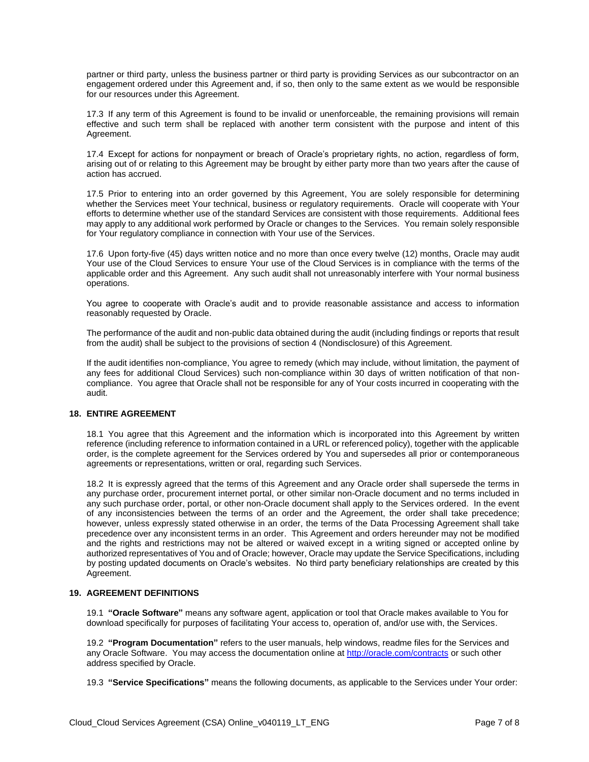partner or third party, unless the business partner or third party is providing Services as our subcontractor on an engagement ordered under this Agreement and, if so, then only to the same extent as we would be responsible for our resources under this Agreement.

17.3 If any term of this Agreement is found to be invalid or unenforceable, the remaining provisions will remain effective and such term shall be replaced with another term consistent with the purpose and intent of this Agreement.

17.4 Except for actions for nonpayment or breach of Oracle's proprietary rights, no action, regardless of form, arising out of or relating to this Agreement may be brought by either party more than two years after the cause of action has accrued.

17.5 Prior to entering into an order governed by this Agreement, You are solely responsible for determining whether the Services meet Your technical, business or regulatory requirements. Oracle will cooperate with Your efforts to determine whether use of the standard Services are consistent with those requirements. Additional fees may apply to any additional work performed by Oracle or changes to the Services. You remain solely responsible for Your regulatory compliance in connection with Your use of the Services.

17.6 Upon forty-five (45) days written notice and no more than once every twelve (12) months, Oracle may audit Your use of the Cloud Services to ensure Your use of the Cloud Services is in compliance with the terms of the applicable order and this Agreement. Any such audit shall not unreasonably interfere with Your normal business operations.

You agree to cooperate with Oracle's audit and to provide reasonable assistance and access to information reasonably requested by Oracle.

The performance of the audit and non-public data obtained during the audit (including findings or reports that result from the audit) shall be subject to the provisions of section 4 (Nondisclosure) of this Agreement.

If the audit identifies non-compliance, You agree to remedy (which may include, without limitation, the payment of any fees for additional Cloud Services) such non-compliance within 30 days of written notification of that noncompliance. You agree that Oracle shall not be responsible for any of Your costs incurred in cooperating with the audit.

# **18. ENTIRE AGREEMENT**

18.1 You agree that this Agreement and the information which is incorporated into this Agreement by written reference (including reference to information contained in a URL or referenced policy), together with the applicable order, is the complete agreement for the Services ordered by You and supersedes all prior or contemporaneous agreements or representations, written or oral, regarding such Services.

18.2 It is expressly agreed that the terms of this Agreement and any Oracle order shall supersede the terms in any purchase order, procurement internet portal, or other similar non-Oracle document and no terms included in any such purchase order, portal, or other non-Oracle document shall apply to the Services ordered. In the event of any inconsistencies between the terms of an order and the Agreement, the order shall take precedence; however, unless expressly stated otherwise in an order, the terms of the Data Processing Agreement shall take precedence over any inconsistent terms in an order. This Agreement and orders hereunder may not be modified and the rights and restrictions may not be altered or waived except in a writing signed or accepted online by authorized representatives of You and of Oracle; however, Oracle may update the Service Specifications, including by posting updated documents on Oracle's websites. No third party beneficiary relationships are created by this Agreement.

# **19. AGREEMENT DEFINITIONS**

19.1 **"Oracle Software"** means any software agent, application or tool that Oracle makes available to You for download specifically for purposes of facilitating Your access to, operation of, and/or use with, the Services.

19.2 **"Program Documentation"** refers to the user manuals, help windows, readme files for the Services and any Oracle Software. You may access the documentation online a[t http://oracle.com/contracts](http://oracle.com/contracts) or such other address specified by Oracle.

19.3 **"Service Specifications"** means the following documents, as applicable to the Services under Your order: